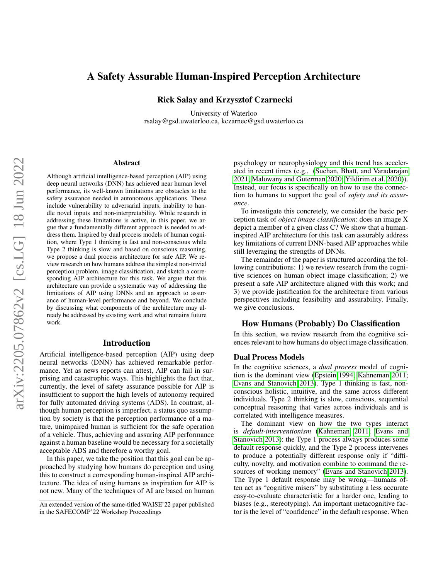# A Safety Assurable Human-Inspired Perception Architecture

## Rick Salay and Krzysztof Czarnecki

University of Waterloo rsalay@gsd.uwaterloo.ca, kczarnec@gsd.uwaterloo.ca

#### Abstract

Although artificial intelligence-based perception (AIP) using deep neural networks (DNN) has achieved near human level performance, its well-known limitations are obstacles to the safety assurance needed in autonomous applications. These include vulnerability to adversarial inputs, inability to handle novel inputs and non-interpretability. While research in addressing these limitations is active, in this paper, we argue that a fundamentally different approach is needed to address them. Inspired by dual process models of human cognition, where Type 1 thinking is fast and non-conscious while Type 2 thinking is slow and based on conscious reasoning, we propose a dual process architecture for safe AIP. We review research on how humans address the simplest non-trivial perception problem, image classification, and sketch a corresponding AIP architecture for this task. We argue that this architecture can provide a systematic way of addressing the limitations of AIP using DNNs and an approach to assurance of human-level performance and beyond. We conclude by discussing what components of the architecture may already be addressed by existing work and what remains future work.

#### Introduction

Artificial intelligence-based perception (AIP) using deep neural networks (DNN) has achieved remarkable performance. Yet as news reports can attest, AIP can fail in surprising and catastrophic ways. This highlights the fact that, currently, the level of safety assurance possible for AIP is insufficient to support the high levels of autonomy required for fully automated driving systems (ADS). In contrast, although human perception is imperfect, a status quo assumption by society is that the perception performance of a mature, unimpaired human is sufficient for the safe operation of a vehicle. Thus, achieving and assuring AIP performance against a human baseline would be necessary for a societally acceptable ADS and therefore a worthy goal.

In this paper, we take the position that this goal can be approached by studying how humans do perception and using this to construct a corresponding human-inspired AIP architecture. The idea of using humans as inspiration for AIP is not new. Many of the techniques of AI are based on human psychology or neurophysiology and this trend has accelerated in recent times (e.g., [\(Suchan, Bhatt, and Varadarajan](#page-8-0) [2021;](#page-8-0) [Malowany and Guterman 2020;](#page-8-1) [Yildirim et al. 2020\)](#page-9-0)). Instead, our focus is specifically on how to use the connection to humans to support the goal of *safety and its assurance*.

To investigate this concretely, we consider the basic perception task of *object image classification*: does an image X depict a member of a given class C? We show that a humaninspired AIP architecture for this task can assurably address key limitations of current DNN-based AIP approaches while still leveraging the strengths of DNNs.

The remainder of the paper is structured according the following contributions: 1) we review research from the cognitive sciences on human object image classification; 2) we present a safe AIP architecture aligned with this work; and 3) we provide justification for the architecture from various perspectives including feasibility and assurability. Finally, we give conclusions.

## How Humans (Probably) Do Classification

In this section, we review research from the cognitive sciences relevant to how humans do object image classification.

#### Dual Process Models

In the cognitive sciences, a *dual process* model of cognition is the dominant view [\(Epstein 1994;](#page-7-0) [Kahneman 2011;](#page-8-2) [Evans and Stanovich 2013\)](#page-7-1). Type 1 thinking is fast, nonconscious holistic, intuitive, and the same across different individuals. Type 2 thinking is slow, conscious, sequential conceptual reasoning that varies across individuals and is correlated with intelligence measures.

The dominant view on how the two types interact is *default-interventionism* [\(Kahneman 2011;](#page-8-2) [Evans and](#page-7-1) [Stanovich 2013\)](#page-7-1): the Type 1 process always produces some default response quickly, and the Type 2 process intervenes to produce a potentially different response only if "difficulty, novelty, and motivation combine to command the resources of working memory" [\(Evans and Stanovich 2013\)](#page-7-1). The Type 1 default response may be wrong—humans often act as "cognitive misers" by substituting a less accurate easy-to-evaluate characteristic for a harder one, leading to biases (e.g., stereotyping). An important metacognitive factor is the level of "confidence" in the default response. When

An extended version of the same-titled WAISE'22 paper published in the SAFECOMP'22 Workshop Proceedings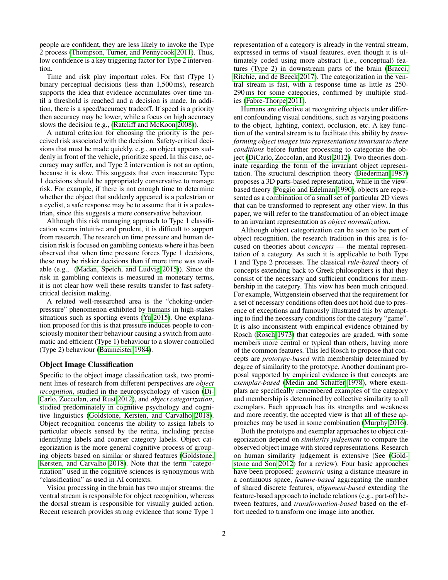people are confident, they are less likely to invoke the Type 2 process [\(Thompson, Turner, and Pennycook 2011\)](#page-9-1). Thus, low confidence is a key triggering factor for Type 2 intervention.

Time and risk play important roles. For fast (Type 1) binary perceptual decisions (less than 1,500 ms), research supports the idea that evidence accumulates over time until a threshold is reached and a decision is made. In addition, there is a speed/accuracy tradeoff. If speed is a priority then accuracy may be lower, while a focus on high accuracy slows the decision (e.g., [\(Ratcliff and McKoon 2008\)](#page-8-3)).

A natural criterion for choosing the priority is the perceived risk associated with the decision. Safety-critical decisions that must be made quickly, e.g., an object appears suddenly in front of the vehicle, prioritize speed. In this case, accuracy may suffer, and Type 2 intervention is not an option, because it is slow. This suggests that even inaccurate Type 1 decisions should be appropriately conservative to manage risk. For example, if there is not enough time to determine whether the object that suddenly appeared is a pedestrian or a cyclist, a safe response may be to assume that it is a pedestrian, since this suggests a more conservative behaviour.

Although this risk managing approach to Type 1 classification seems intuitive and prudent, it is difficult to support from research. The research on time pressure and human decision risk is focused on gambling contexts where it has been observed that when time pressure forces Type 1 decisions, these may be riskier decisions than if more time was available (e.g., [\(Madan, Spetch, and Ludvig 2015\)](#page-8-4)). Since the risk in gambling contexts is measured in monetary terms, it is not clear how well these results transfer to fast safetycritical decision making.

A related well-researched area is the "choking-underpressure" phenomenon exhibited by humans in high-stakes situations such as sporting events [\(Yu 2015\)](#page-9-2). One explanation proposed for this is that pressure induces people to consciously monitor their behaviour causing a switch from automatic and efficient (Type 1) behaviour to a slower controlled (Type 2) behaviour [\(Baumeister 1984\)](#page-7-2).

#### Object Image Classification

Specific to the object image classification task, two prominent lines of research from different perspectives are *object recognition*, studied in the neuropsychology of vision [\(Di-](#page-7-3)[Carlo, Zoccolan, and Rust 2012\)](#page-7-3), and *object categorization*, studied predominately in cognitive psychology and cognitive linguistics [\(Goldstone, Kersten, and Carvalho 2018\)](#page-8-5). Object recognition concerns the ability to assign labels to particular objects sensed by the retina, including precise identifying labels and coarser category labels. Object categorization is the more general cognitive process of grouping objects based on similar or shared features [\(Goldstone,](#page-8-5) [Kersten, and Carvalho 2018\)](#page-8-5). Note that the term "categorization" used in the cognitive sciences is synonymous with "classification" as used in AI contexts.

Vision processing in the brain has two major streams: the ventral stream is responsible for object recognition, whereas the dorsal stream is responsible for visually guided action. Recent research provides strong evidence that some Type 1

representation of a category is already in the ventral stream, expressed in terms of visual features, even though it is ultimately coded using more abstract (i.e., conceptual) features (Type 2) in downstream parts of the brain [\(Bracci,](#page-7-4) [Ritchie, and de Beeck 2017\)](#page-7-4). The categorization in the ventral stream is fast, with a response time as little as 250- 290 ms for some categories, confirmed by multiple studies [\(Fabre-Thorpe 2011\)](#page-8-6).

Humans are effective at recognizing objects under different confounding visual conditions, such as varying positions to the object, lighting, context, occlusion, etc. A key function of the ventral stream is to facilitate this ability by *transforming object images into representations invariant to these conditions* before further processing to categorize the object [\(DiCarlo, Zoccolan, and Rust 2012\)](#page-7-3). Two theories dominate regarding the form of the invariant object representation. The structural description theory [\(Biederman 1987\)](#page-7-5) proposes a 3D parts-based representation, while in the viewbased theory [\(Poggio and Edelman 1990\)](#page-8-7), objects are represented as a combination of a small set of particular 2D views that can be transformed to represent any other view. In this paper, we will refer to the transformation of an object image to an invariant representation as *object normalization*.

Although object categorization can be seen to be part of object recognition, the research tradition in this area is focused on theories about *concepts* — the mental representation of a category. As such it is applicable to both Type 1 and Type 2 processes. The classical *rule-based* theory of concepts extending back to Greek philosophers is that they consist of the necessary and sufficient conditions for membership in the category. This view has been much critiqued. For example, Wittgenstein observed that the requirement for a set of necessary conditions often does not hold due to presence of exceptions and famously illustrated this by attempting to find the necessary conditions for the category "game". It is also inconsistent with empirical evidence obtained by Rosch [\(Rosch 1973\)](#page-8-8) that categories are graded, with some members more central or typical than others, having more of the common features. This led Rosch to propose that concepts are *prototype-based* with membership determined by degree of similarity to the prototype. Another dominant proposal supported by empirical evidence is that concepts are *exemplar-based* [\(Medin and Schaffer 1978\)](#page-8-9), where exemplars are specifically remembered examples of the category and membership is determined by collective similarity to all exemplars. Each approach has its strengths and weakness and more recently, the accepted view is that all of these approaches may be used in some combination [\(Murphy 2016\)](#page-8-10).

Both the prototype and exemplar approaches to object categorization depend on *similarity judgement* to compare the observed object image with stored representations. Research on human similarity judgement is extensive (See [\(Gold](#page-8-11)[stone and Son 2012\)](#page-8-11) for a review). Four basic approaches have been proposed: *geometric* using a distance measure in a continuous space, *feature-based* aggregating the number of shared discrete features, *alignment-based* extending the feature-based approach to include relations (e.g., part-of) between features, and *transformation-based* based on the effort needed to transform one image into another.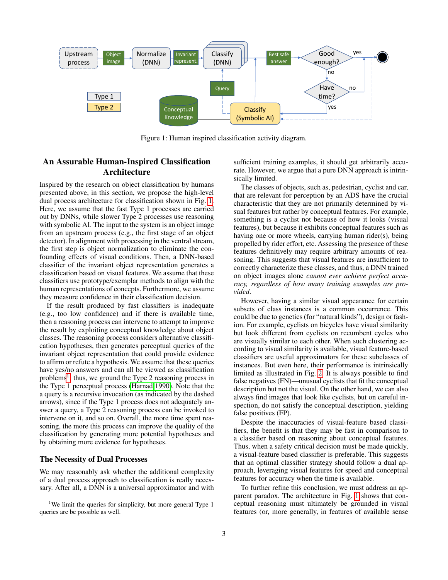<span id="page-2-0"></span>

Figure 1: Human inspired classification activity diagram.

# An Assurable Human-Inspired Classification **Architecture**

Inspired by the research on object classification by humans presented above, in this section, we propose the high-level dual process architecture for classification shown in Fig. [1.](#page-2-0) Here, we assume that the fast Type 1 processes are carried out by DNNs, while slower Type 2 processes use reasoning with symbolic AI. The input to the system is an object image from an upstream process (e.g., the first stage of an object detector). In alignment with processing in the ventral stream, the first step is object normalization to eliminate the confounding effects of visual conditions. Then, a DNN-based classifier of the invariant object representation generates a classification based on visual features. We assume that these classifiers use prototype/exemplar methods to align with the human representations of concepts. Furthermore, we assume they measure confidence in their classification decision.

If the result produced by fast classifiers is inadequate (e.g., too low confidence) and if there is available time, then a reasoning process can intervene to attempt to improve the result by exploiting conceptual knowledge about object classes. The reasoning process considers alternative classification hypotheses, then generates perceptual queries of the invariant object representation that could provide evidence to affirm or refute a hypothesis. We assume that these queries have yes/no answers and can all be viewed as classification problems<sup>[1](#page-2-1)</sup>; thus, we ground the Type 2 reasoning process in the Type 1 perceptual process [\(Harnad 1990\)](#page-8-12). Note that the a query is a recursive invocation (as indicated by the dashed arrows), since if the Type 1 process does not adequately answer a query, a Type 2 reasoning process can be invoked to intervene on it, and so on. Overall, the more time spent reasoning, the more this process can improve the quality of the classification by generating more potential hypotheses and by obtaining more evidence for hypotheses.

### The Necessity of Dual Processes

We may reasonably ask whether the additional complexity of a dual process approach to classification is really necessary. After all, a DNN is a universal approximator and with sufficient training examples, it should get arbitrarily accurate. However, we argue that a pure DNN approach is intrinsically limited.

The classes of objects, such as, pedestrian, cyclist and car, that are relevant for perception by an ADS have the crucial characteristic that they are not primarily determined by visual features but rather by conceptual features. For example, something is a cyclist not because of how it looks (visual features), but because it exhibits conceptual features such as having one or more wheels, carrying human rider(s), being propelled by rider effort, etc. Assessing the presence of these features definitively may require arbitrary amounts of reasoning. This suggests that visual features are insufficient to correctly characterize these classes, and thus, a DNN trained on object images alone *cannot ever achieve perfect accuracy, regardless of how many training examples are provided*.

However, having a similar visual appearance for certain subsets of class instances is a common occurrence. This could be due to genetics (for "natural kinds"), design or fashion. For example, cyclists on bicycles have visual similarity but look different from cyclists on recumbent cycles who are visually similar to each other. When such clustering according to visual similarity is available, visual feature-based classifiers are useful approximators for these subclasses of instances. But even here, their performance is intrinsically limited as illustrated in Fig. [2.](#page-4-0) It is always possible to find false negatives (FN)—unusual cyclists that fit the conceptual description but not the visual. On the other hand, we can also always find images that look like cyclists, but on careful inspection, do not satisfy the conceptual description, yielding false positives (FP).

Despite the inaccuracies of visual-feature based classifiers, the benefit is that they may be fast in comparison to a classifier based on reasoning about conceptual features. Thus, when a safety critical decision must be made quickly, a visual-feature based classifier is preferable. This suggests that an optimal classifier strategy should follow a dual approach, leveraging visual features for speed and conceptual features for accuracy when the time is available.

To further refine this conclusion, we must address an apparent paradox. The architecture in Fig. [1](#page-2-0) shows that conceptual reasoning must ultimately be grounded in visual features (or, more generally, in features of available sense

<span id="page-2-1"></span><sup>&</sup>lt;sup>1</sup>We limit the queries for simplicity, but more general Type 1 queries are be possible as well.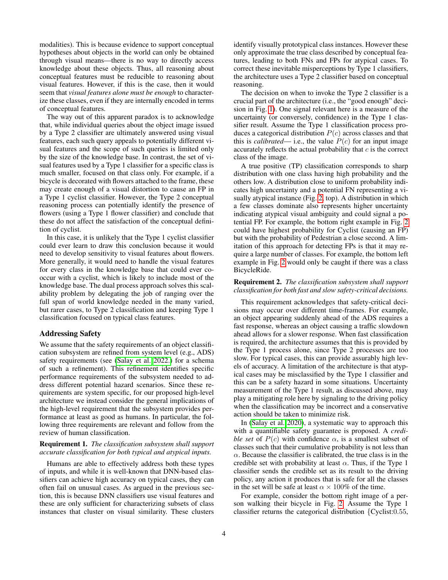modalities). This is because evidence to support conceptual hypotheses about objects in the world can only be obtained through visual means—there is no way to directly access knowledge about these objects. Thus, all reasoning about conceptual features must be reducible to reasoning about visual features. However, if this is the case, then it would seem that *visual features alone must be enough* to characterize these classes, even if they are internally encoded in terms of conceptual features.

The way out of this apparent paradox is to acknowledge that, while individual queries about the object image issued by a Type 2 classifier are ultimately answered using visual features, each such query appeals to potentially different visual features and the scope of such queries is limited only by the size of the knowledge base. In contrast, the set of visual features used by a Type 1 classifier for a specific class is much smaller, focused on that class only. For example, if a bicycle is decorated with flowers attached to the frame, these may create enough of a visual distortion to cause an FP in a Type 1 cyclist classifier. However, the Type 2 conceptual reasoning process can potentially identify the presence of flowers (using a Type 1 flower classifier) and conclude that these do not affect the satisfaction of the conceptual definition of cyclist.

In this case, it is unlikely that the Type 1 cyclist classifier could ever learn to draw this conclusion because it would need to develop sensitivity to visual features about flowers. More generally, it would need to handle the visual features for every class in the knowledge base that could ever cooccur with a cyclist, which is likely to include most of the knowledge base. The dual process approach solves this scalability problem by delegating the job of ranging over the full span of world knowledge needed in the many varied, but rarer cases, to Type 2 classification and keeping Type 1 classification focused on typical class features.

#### Addressing Safety

We assume that the safety requirements of an object classification subsystem are refined from system level (e.g., ADS) safety requirements (see [\(Salay et al. 2022.\)](#page-8-13) for a schema of such a refinement). This refinement identifies specific performance requirements of the subsystem needed to address different potential hazard scenarios. Since these requirements are system specific, for our proposed high-level architecture we instead consider the general implications of the high-level requirement that the subsystem provides performance at least as good as humans. In particular, the following three requirements are relevant and follow from the review of human classification.

#### Requirement 1. *The classification subsystem shall support accurate classification for both typical and atypical inputs.*

Humans are able to effectively address both these types of inputs, and while it is well-known that DNN-based classifiers can achieve high accuracy on typical cases, they can often fail on unusual cases. As argued in the previous section, this is because DNN classifiers use visual features and these are only sufficient for characterizing subsets of class instances that cluster on visual similarity. These clusters identify visually prototypical class instances. However these only approximate the true class described by conceptual features, leading to both FNs and FPs for atypical cases. To correct these inevitable misperceptions by Type 1 classifiers, the architecture uses a Type 2 classifier based on conceptual reasoning.

The decision on when to invoke the Type 2 classifier is a crucial part of the architecture (i.e., the "good enough" decision in Fig. [1\)](#page-2-0). One signal relevant here is a measure of the uncertainty (or conversely, confidence) in the Type 1 classifier result. Assume the Type 1 classification process produces a categorical distribution  $P(c)$  across classes and that this is *calibrated*— i.e., the value  $P(c)$  for an input image accurately reflects the actual probability that  $c$  is the correct class of the image.

A true positive (TP) classification corresponds to sharp distribution with one class having high probability and the others low. A distribution close to uniform probability indicates high uncertainty and a potential FN representing a visually atypical instance (Fig. [2,](#page-4-0) top). A distribution in which a few classes dominate also represents higher uncertainty indicating atypical visual ambiguity and could signal a potential FP. For example, the bottom right example in Fig. [2](#page-4-0) could have highest probability for Cyclist (causing an FP) but with the probability of Pedestrian a close second. A limitation of this approach for detecting FPs is that it may require a large number of classes. For example, the bottom left example in Fig. [2](#page-4-0) would only be caught if there was a class BicycleRide.

### Requirement 2. *The classification subsystem shall support classification for both fast and slow safety-critical decisions.*

This requirement acknowledges that safety-critical decisions may occur over different time-frames. For example, an object appearing suddenly ahead of the ADS requires a fast response, whereas an object causing a traffic slowdown ahead allows for a slower response. When fast classification is required, the architecture assumes that this is provided by the Type 1 process alone, since Type 2 processes are too slow. For typical cases, this can provide assurably high levels of accuracy. A limitation of the architecture is that atypical cases may be misclassified by the Type 1 classifier and this can be a safety hazard in some situations. Uncertainty measurement of the Type 1 result, as discussed above, may play a mitigating role here by signaling to the driving policy when the classification may be incorrect and a conservative action should be taken to minimize risk.

In [\(Salay et al. 2020\)](#page-8-14), a systematic way to approach this with a quantifiable safety guarantee is proposed. A *credible set* of  $P(c)$  with confidence  $\alpha$ , is a smallest subset of classes such that their cumulative probability is not less than  $\alpha$ . Because the classifier is calibrated, the true class is in the credible set with probability at least  $\alpha$ . Thus, if the Type 1 classifier sends the credible set as its result to the driving policy, any action it produces that is safe for all the classes in the set will be safe at least  $\alpha \times 100\%$  of the time.

For example, consider the bottom right image of a person walking their bicycle in Fig. [2.](#page-4-0) Assume the Type 1 classifier returns the categorical distribution {Cyclist:0.55,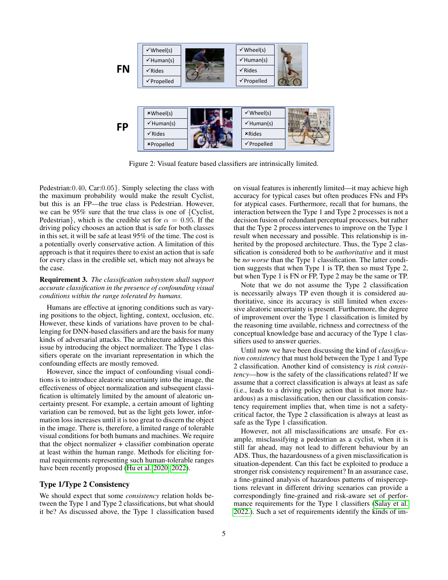<span id="page-4-0"></span>

Figure 2: Visual feature based classifiers are intrinsically limited.

Pedestrian:0.40, Car:0.05}. Simply selecting the class with the maximum probability would make the result Cyclist, but this is an FP—the true class is Pedestrian. However, we can be 95% sure that the true class is one of {Cyclist, Pedestrian, which is the credible set for  $\alpha = 0.95$ . If the driving policy chooses an action that is safe for both classes in this set, it will be safe at least 95% of the time. The cost is a potentially overly conservative action. A limitation of this approach is that it requires there to exist an action that is safe for every class in the credible set, which may not always be the case.

### Requirement 3. *The classification subsystem shall support accurate classification in the presence of confounding visual conditions within the range tolerated by humans.*

Humans are effective at ignoring conditions such as varying positions to the object, lighting, context, occlusion, etc. However, these kinds of variations have proven to be challenging for DNN-based classifiers and are the basis for many kinds of adversarial attacks. The architecture addresses this issue by introducing the object normalizer. The Type 1 classifiers operate on the invariant representation in which the confounding effects are mostly removed.

However, since the impact of confounding visual conditions is to introduce aleatoric uncertainty into the image, the effectiveness of object normalization and subsequent classification is ultimately limited by the amount of aleatoric uncertainty present. For example, a certain amount of lighting variation can be removed, but as the light gets lower, information loss increases until it is too great to discern the object in the image. There is, therefore, a limited range of tolerable visual conditions for both humans and machines. We require that the object normalizer + classifier combination operate at least within the human range. Methods for eliciting formal requirements representing such human-tolerable ranges have been recently proposed [\(Hu et al. 2020,](#page-8-15) [2022\)](#page-8-16).

# Type 1/Type 2 Consistency

We should expect that some *consistency* relation holds between the Type 1 and Type 2 classifications, but what should it be? As discussed above, the Type 1 classification based on visual features is inherently limited—it may achieve high accuracy for typical cases but often produces FNs and FPs for atypical cases. Furthermore, recall that for humans, the interaction between the Type 1 and Type 2 processes is not a decision fusion of redundant perceptual processes, but rather that the Type 2 process intervenes to improve on the Type 1 result when necessary and possible. This relationship is inherited by the proposed architecture. Thus, the Type 2 classification is considered both to be *authoritative* and it must be *no worse* than the Type 1 classification. The latter condition suggests that when Type 1 is TP, then so must Type 2, but when Type 1 is FN or FP, Type 2 may be the same or TP.

Note that we do not assume the Type 2 classification is necessarily always TP even though it is considered authoritative, since its accuracy is still limited when excessive aleatoric uncertainty is present. Furthermore, the degree of improvement over the Type 1 classification is limited by the reasoning time available, richness and correctness of the conceptual knowledge base and accuracy of the Type 1 classifiers used to answer queries.

Until now we have been discussing the kind of *classification consistency* that must hold between the Type 1 and Type 2 classification. Another kind of consistency is *risk consistency*—how is the safety of the classifications related? If we assume that a correct classification is always at least as safe (i.e., leads to a driving policy action that is not more hazardous) as a misclassification, then our classification consistency requirement implies that, when time is not a safetycritical factor, the Type 2 classification is always at least as safe as the Type 1 classification.

However, not all misclassifications are unsafe. For example, misclassifying a pedestrian as a cyclist, when it is still far ahead, may not lead to different behaviour by an ADS. Thus, the hazardousness of a given misclassification is situation-dependent. Can this fact be exploited to produce a stronger risk consistency requirement? In an assurance case, a fine-grained analysis of hazardous patterns of misperceptions relevant in different driving scenarios can provide a correspondingly fine-grained and risk-aware set of performance requirements for the Type 1 classifiers [\(Salay et al.](#page-8-13) [2022.\)](#page-8-13). Such a set of requirements identify the kinds of im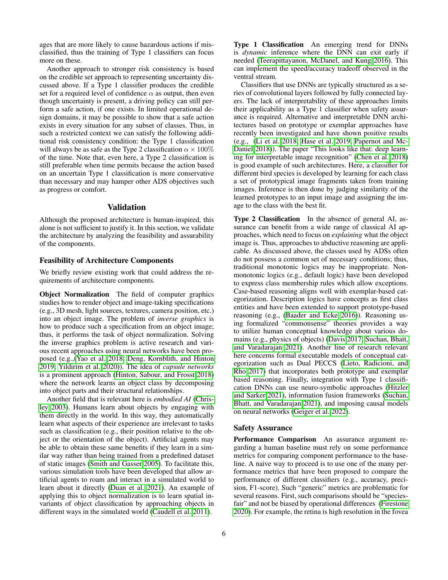ages that are more likely to cause hazardous actions if misclassified, thus the training of Type 1 classifiers can focus more on these.

Another approach to stronger risk consistency is based on the credible set approach to representing uncertainty discussed above. If a Type 1 classifier produces the credible set for a required level of confidence  $\alpha$  as output, then even though uncertainty is present, a driving policy can still perform a safe action, if one exists. In limited operational design domains, it may be possible to show that a safe action exists in every situation for any subset of classes. Thus, in such a restricted context we can satisfy the following additional risk consistency condition: the Type 1 classification will always be as safe as the Type 2 classification  $\alpha \times 100\%$ of the time. Note that, even here, a Type 2 classification is still preferable when time permits because the action based on an uncertain Type 1 classification is more conservative than necessary and may hamper other ADS objectives such as progress or comfort.

# Validation

Although the proposed architecture is human-inspired, this alone is not sufficient to justify it. In this section, we validate the architecture by analyzing the feasibility and assurability of the components.

#### Feasibility of Architecture Components

We briefly review existing work that could address the requirements of architecture components.

Object Normalization The field of computer graphics studies how to render object and image-taking specifications (e.g., 3D mesh, light sources, textures, camera position, etc.) into an object image. The problem of *inverse graphics* is how to produce such a specification from an object image; thus, it performs the task of object normalization. Solving the inverse graphics problem is active research and various recent approaches using neural networks have been proposed (e.g.,[\(Yao et al. 2018;](#page-9-3) [Deng, Kornblith, and Hinton](#page-7-6) [2019;](#page-7-6) [Yildirim et al. 2020\)](#page-9-0)). The idea of *capsule networks* is a prominent approach [\(Hinton, Sabour, and Frosst 2018\)](#page-8-17) where the network learns an object class by decomposing into object parts and their structural relationships.

Another field that is relevant here is *embodied AI* [\(Chris](#page-7-7)[ley 2003\)](#page-7-7). Humans learn about objects by engaging with them directly in the world. In this way, they automatically learn what aspects of their experience are irrelevant to tasks such as classification (e.g., their position relative to the object or the orientation of the object). Artificial agents may be able to obtain these same benefits if they learn in a similar way rather than being trained from a predefined dataset of static images [\(Smith and Gasser 2005\)](#page-8-18). To facilitate this, various simulation tools have been developed that allow artificial agents to roam and interact in a simulated world to learn about it directly [\(Duan et al. 2021\)](#page-7-8). An example of applying this to object normalization is to learn spatial invariants of object classification by approaching objects in different ways in the simulated world [\(Caudell et al. 2011\)](#page-7-9).

Type 1 Classification An emerging trend for DNNs is *dynamic* inference where the DNN can exit early if needed [\(Teerapittayanon, McDanel, and Kung 2016\)](#page-8-19). This can implement the speed/accuracy tradeoff observed in the ventral stream.

Classifiers that use DNNs are typically structured as a series of convolutional layers followed by fully connected layers. The lack of interpretability of these approaches limits their applicability as a Type 1 classifier when safety assurance is required. Alternative and interpretable DNN architectures based on prototype or exemplar approaches have recently been investigated and have shown positive results (e.g., [\(Li et al. 2018;](#page-8-20) [Hase et al. 2019;](#page-8-21) [Papernot and Mc-](#page-8-22)[Daniel 2018\)](#page-8-22)). The paper "This looks like that: deep learning for interpretable image recognition" [\(Chen et al. 2018\)](#page-7-10) is good example of such architectures. Here, a classifier for different bird species is developed by learning for each class a set of prototypical image fragments taken from training images. Inference is then done by judging similarity of the learned prototypes to an input image and assigning the image to the class with the best fit.

Type 2 Classification In the absence of general AI, assurance can benefit from a wide range of classical AI approaches, which need to focus on *explaining* what the object image is. Thus, approaches to abductive reasoning are applicable. As discussed above, the classes used by ADSs often do not possess a common set of necessary conditions; thus, traditional monotonic logics may be inappropriate. Nonmonotonic logics (e.g., default logic) have been developed to express class membership rules which allow exceptions. Case-based reasoning aligns well with exemplar-based categorization. Description logics have concepts as first class entities and have been extended to support prototype-based reasoning (e.g., [\(Baader and Ecke 2016\)](#page-7-11)). Reasoning using formalized "commonsense" theories provides a way to utilize human conceptual knowledge about various domains (e.g., physics of objects) [\(Davis 2017;](#page-7-12) [Suchan, Bhatt,](#page-8-0) [and Varadarajan 2021\)](#page-8-0). Another line of research relevant here concerns formal executable models of conceptual categorization such as Dual PECCS [\(Lieto, Radicioni, and](#page-8-23) [Rho 2017\)](#page-8-23) that incorporates both prototype and exemplar based reasoning. Finally, integration with Type 1 classification DNNs can use neuro-symbolic approaches [\(Hitzler](#page-8-24) [and Sarker 2021\)](#page-8-24), information fusion frameworks [\(Suchan,](#page-8-0) [Bhatt, and Varadarajan 2021\)](#page-8-0), and imposing causal models on neural networks [\(Geiger et al. 2022\)](#page-8-25).

#### Safety Assurance

Performance Comparison An assurance argument regarding a human baseline must rely on some performance metrics for comparing component performance to the baseline. A naive way to proceed is to use one of the many performance metrics that have been proposed to compare the performance of different classifiers (e.g., accuracy, precision, F1-score). Such "generic" metrics are problematic for several reasons. First, such comparisons should be "speciesfair" and not be biased by operational differences [\(Firestone](#page-8-26) [2020\)](#page-8-26). For example, the retina is high resolution in the fovea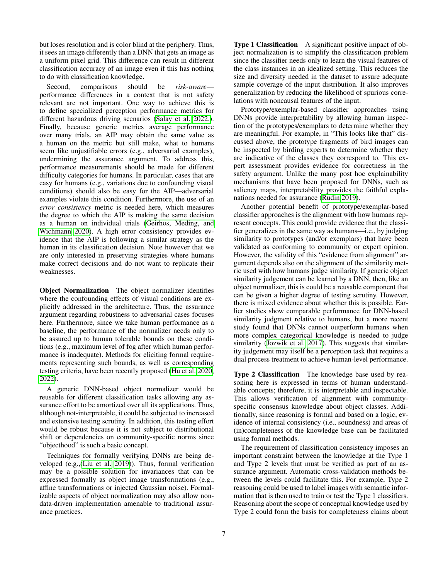but loses resolution and is color blind at the periphery. Thus, it sees an image differently than a DNN that gets an image as a uniform pixel grid. This difference can result in different classification accuracy of an image even if this has nothing to do with classification knowledge.

Second, comparisons should be *risk-aware* performance differences in a context that is not safety relevant are not important. One way to achieve this is to define specialized perception performance metrics for different hazardous driving scenarios [\(Salay et al. 2022.\)](#page-8-13). Finally, because generic metrics average performance over many trials, an AIP may obtain the same value as a human on the metric but still make, what to humans seem like unjustifiable errors (e.g., adversarial examples), undermining the assurance argument. To address this, performance measurements should be made for different difficulty categories for humans. In particular, cases that are easy for humans (e.g., variations due to confounding visual conditions) should also be easy for the AIP—adversarial examples violate this condition. Furthermore, the use of an *error consistency* metric is needed here, which measures the degree to which the AIP is making the same decision as a human on individual trials [\(Geirhos, Meding, and](#page-8-27) [Wichmann 2020\)](#page-8-27). A high error consistency provides evidence that the AIP is following a similar strategy as the human in its classification decision. Note however that we are only interested in preserving strategies where humans make correct decisions and do not want to replicate their weaknesses.

Object Normalization The object normalizer identifies where the confounding effects of visual conditions are explicitly addressed in the architecture. Thus, the assurance argument regarding robustness to adversarial cases focuses here. Furthermore, since we take human performance as a baseline, the performance of the normalizer needs only to be assured up to human tolerable bounds on these conditions (e.g., maximum level of fog after which human performance is inadequate). Methods for eliciting formal requirements representing such bounds, as well as corresponding testing criteria, have been recently proposed [\(Hu et al. 2020,](#page-8-15) [2022\)](#page-8-16).

A generic DNN-based object normalizer would be reusable for different classification tasks allowing any assurance effort to be amortized over all its applications. Thus, although not-interpretable, it could be subjected to increased and extensive testing scrutiny. In addition, this testing effort would be robust because it is not subject to distributional shift or dependencies on community-specific norms since "objecthood" is such a basic concept.

Techniques for formally verifying DNNs are being developed (e.g.,[\(Liu et al. 2019\)](#page-8-28)). Thus, formal verification may be a possible solution for invariances that can be expressed formally as object image transformations (e.g., affine transformations or injected Gaussian noise). Formalizable aspects of object normalization may also allow nondata-driven implementation amenable to traditional assurance practices.

Type 1 Classification A significant positive impact of object normalization is to simplify the classification problem since the classifier needs only to learn the visual features of the class instances in an idealized setting. This reduces the size and diversity needed in the dataset to assure adequate sample coverage of the input distribution. It also improves generalization by reducing the likelihood of spurious correlations with noncausal features of the input.

Prototype/exemplar-based classifier approaches using DNNs provide interpretability by allowing human inspection of the prototypes/exemplars to determine whether they are meaningful. For example, in "This looks like that" discussed above, the prototype fragments of bird images can be inspected by birding experts to determine whether they are indicative of the classes they correspond to. This expert assessment provides evidence for correctness in the safety argument. Unlike the many post hoc explainability mechanisms that have been proposed for DNNs, such as saliency maps, interpretability provides the faithful explanations needed for assurance [\(Rudin 2019\)](#page-8-29).

Another potential benefit of prototype/exemplar-based classifier approaches is the alignment with how humans represent concepts. This could provide evidence that the classifier generalizes in the same way as humans—i.e., by judging similarity to prototypes (and/or exemplars) that have been validated as conforming to community or expert opinion. However, the validity of this "evidence from alignment" argument depends also on the alignment of the similarity metric used with how humans judge similarity. If generic object similarity judgement can be learned by a DNN, then, like an object normalizer, this is could be a reusable component that can be given a higher degree of testing scrutiny. However, there is mixed evidence about whether this is possible. Earlier studies show comparable performance for DNN-based similarity judgment relative to humans, but a more recent study found that DNNs cannot outperform humans when more complex categorical knowledge is needed to judge similarity [\(Jozwik et al. 2017\)](#page-8-30). This suggests that similarity judgement may itself be a perception task that requires a dual process treatment to achieve human-level performance.

Type 2 Classification The knowledge base used by reasoning here is expressed in terms of human understandable concepts; therefore, it is interpretable and inspectable. This allows verification of alignment with communityspecific consensus knowledge about object classes. Additionally, since reasoning is formal and based on a logic, evidence of internal consistency (i.e., soundness) and areas of (in)completeness of the knowledge base can be facilitated using formal methods.

The requirement of classification consistency imposes an important constraint between the knowledge at the Type 1 and Type 2 levels that must be verified as part of an assurance argument. Automatic cross-validation methods between the levels could facilitate this. For example, Type 2 reasoning could be used to label images with semantic information that is then used to train or test the Type 1 classifiers. Reasoning about the scope of conceptual knowledge used by Type 2 could form the basis for completeness claims about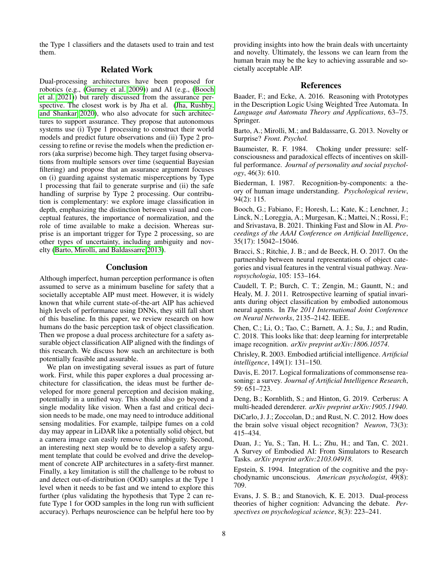the Type 1 classifiers and the datasets used to train and test them.

## Related Work

Dual-processing architectures have been proposed for robotics (e.g., [\(Gurney et al. 2009\)](#page-8-31)) and AI (e.g., [\(Booch](#page-7-13) [et al. 2021\)](#page-7-13)) but rarely discussed from the assurance perspective. The closest work is by Jha et al. [\(Jha, Rushby,](#page-8-32) [and Shankar 2020\)](#page-8-32), who also advocate for such architectures to support assurance. They propose that autonomous systems use (i) Type 1 processing to construct their world models and predict future observations and (ii) Type 2 processing to refine or revise the models when the prediction errors (aka surprise) become high. They target fusing observations from multiple sensors over time (sequential Bayesian filtering) and propose that an assurance argument focuses on (i) guarding against systematic misperceptions by Type 1 processing that fail to generate surprise and (ii) the safe handling of surprise by Type 2 processing. Our contribution is complementary: we explore image classification in depth, emphasizing the distinction between visual and conceptual features, the importance of normalization, and the role of time available to make a decision. Whereas surprise is an important trigger for Type 2 processing, so are other types of uncertainty, including ambiguity and novelty [\(Barto, Mirolli, and Baldassarre 2013\)](#page-7-14).

# **Conclusion**

Although imperfect, human perception performance is often assumed to serve as a minimum baseline for safety that a societally acceptable AIP must meet. However, it is widely known that while current state-of-the-art AIP has achieved high levels of performance using DNNs, they still fall short of this baseline. In this paper, we review research on how humans do the basic perception task of object classification. Then we propose a dual process architecture for a safety assurable object classification AIP aligned with the findings of this research. We discuss how such an architecture is both potentially feasible and assurable.

We plan on investigating several issues as part of future work. First, while this paper explores a dual processing architecture for classification, the ideas must be further developed for more general perception and decision making, potentially in a unified way. This should also go beyond a single modality like vision. When a fast and critical decision needs to be made, one may need to introduce additional sensing modalities. For example, tailpipe fumes on a cold day may appear in LiDAR like a potentially solid object, but a camera image can easily remove this ambiguity. Second, an interesting next step would be to develop a safety argument template that could be evolved and drive the development of concrete AIP architectures in a safety-first manner. Finally, a key limitation is still the challenge to be robust to and detect out-of-distribution (OOD) samples at the Type 1 level when it needs to be fast and we intend to explore this further (plus validating the hypothesis that Type 2 can refute Type 1 for OOD samples in the long run with sufficient accuracy). Perhaps neuroscience can be helpful here too by providing insights into how the brain deals with uncertainty and novelty. Ultimately, the lessons we can learn from the human brain may be the key to achieving assurable and societally acceptable AIP.

## References

<span id="page-7-11"></span>Baader, F.; and Ecke, A. 2016. Reasoning with Prototypes in the Description Logic Using Weighted Tree Automata. In *Language and Automata Theory and Applications*, 63–75. Springer.

<span id="page-7-14"></span>Barto, A.; Mirolli, M.; and Baldassarre, G. 2013. Novelty or Surprise? *Front. Psychol.*

<span id="page-7-2"></span>Baumeister, R. F. 1984. Choking under pressure: selfconsciousness and paradoxical effects of incentives on skillful performance. *Journal of personality and social psychology*, 46(3): 610.

<span id="page-7-5"></span>Biederman, I. 1987. Recognition-by-components: a theory of human image understanding. *Psychological review*, 94(2): 115.

<span id="page-7-13"></span>Booch, G.; Fabiano, F.; Horesh, L.; Kate, K.; Lenchner, J.; Linck, N.; Loreggia, A.; Murgesan, K.; Mattei, N.; Rossi, F.; and Srivastava, B. 2021. Thinking Fast and Slow in AI. *Proceedings of the AAAI Conference on Artificial Intelligence*, 35(17): 15042–15046.

<span id="page-7-4"></span>Bracci, S.; Ritchie, J. B.; and de Beeck, H. O. 2017. On the partnership between neural representations of object categories and visual features in the ventral visual pathway. *Neuropsychologia*, 105: 153–164.

<span id="page-7-9"></span>Caudell, T. P.; Burch, C. T.; Zengin, M.; Gauntt, N.; and Healy, M. J. 2011. Retrospective learning of spatial invariants during object classification by embodied autonomous neural agents. In *The 2011 International Joint Conference on Neural Networks*, 2135–2142. IEEE.

<span id="page-7-10"></span>Chen, C.; Li, O.; Tao, C.; Barnett, A. J.; Su, J.; and Rudin, C. 2018. This looks like that: deep learning for interpretable image recognition. *arXiv preprint arXiv:1806.10574*.

<span id="page-7-7"></span>Chrisley, R. 2003. Embodied artificial intelligence. *Artificial intelligence*, 149(1): 131–150.

<span id="page-7-12"></span>Davis, E. 2017. Logical formalizations of commonsense reasoning: a survey. *Journal of Artificial Intelligence Research*, 59: 651–723.

<span id="page-7-6"></span>Deng, B.; Kornblith, S.; and Hinton, G. 2019. Cerberus: A multi-headed derenderer. *arXiv preprint arXiv:1905.11940*.

<span id="page-7-3"></span>DiCarlo, J. J.; Zoccolan, D.; and Rust, N. C. 2012. How does the brain solve visual object recognition? *Neuron*, 73(3): 415–434.

<span id="page-7-8"></span>Duan, J.; Yu, S.; Tan, H. L.; Zhu, H.; and Tan, C. 2021. A Survey of Embodied AI: From Simulators to Research Tasks. *arXiv preprint arXiv:2103.04918*.

<span id="page-7-0"></span>Epstein, S. 1994. Integration of the cognitive and the psychodynamic unconscious. *American psychologist*, 49(8): 709.

<span id="page-7-1"></span>Evans, J. S. B.; and Stanovich, K. E. 2013. Dual-process theories of higher cognition: Advancing the debate. *Perspectives on psychological science*, 8(3): 223–241.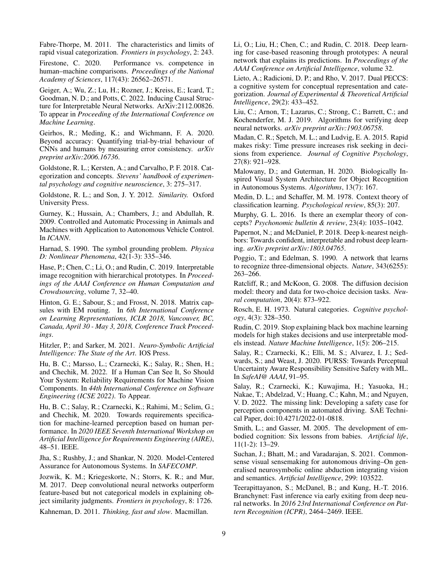<span id="page-8-6"></span>Fabre-Thorpe, M. 2011. The characteristics and limits of rapid visual categorization. *Frontiers in psychology*, 2: 243.

<span id="page-8-26"></span>Firestone, C. 2020. Performance vs. competence in human–machine comparisons. *Proceedings of the National Academy of Sciences*, 117(43): 26562–26571.

<span id="page-8-25"></span>Geiger, A.; Wu, Z.; Lu, H.; Rozner, J.; Kreiss, E.; Icard, T.; Goodman, N. D.; and Potts, C. 2022. Inducing Causal Structure for Interpretable Neural Networks. ArXiv:2112.00826. To appear in *Proceeding of the International Conference on Machine Learning*.

<span id="page-8-27"></span>Geirhos, R.; Meding, K.; and Wichmann, F. A. 2020. Beyond accuracy: Quantifying trial-by-trial behaviour of CNNs and humans by measuring error consistency. *arXiv preprint arXiv:2006.16736*.

<span id="page-8-5"></span>Goldstone, R. L.; Kersten, A.; and Carvalho, P. F. 2018. Categorization and concepts. *Stevens' handbook of experimental psychology and cognitive neuroscience*, 3: 275–317.

<span id="page-8-11"></span>Goldstone, R. L.; and Son, J. Y. 2012. *Similarity.* Oxford University Press.

<span id="page-8-31"></span>Gurney, K.; Hussain, A.; Chambers, J.; and Abdullah, R. 2009. Controlled and Automatic Processing in Animals and Machines with Application to Autonomous Vehicle Control. In *ICANN*.

<span id="page-8-12"></span>Harnad, S. 1990. The symbol grounding problem. *Physica D: Nonlinear Phenomena*, 42(1-3): 335–346.

<span id="page-8-21"></span>Hase, P.; Chen, C.; Li, O.; and Rudin, C. 2019. Interpretable image recognition with hierarchical prototypes. In *Proceedings of the AAAI Conference on Human Computation and Crowdsourcing*, volume 7, 32–40.

<span id="page-8-17"></span>Hinton, G. E.; Sabour, S.; and Frosst, N. 2018. Matrix capsules with EM routing. In *6th International Conference on Learning Representations, ICLR 2018, Vancouver, BC, Canada, April 30 - May 3, 2018, Conference Track Proceedings*.

<span id="page-8-24"></span>Hitzler, P.; and Sarker, M. 2021. *Neuro-Symbolic Artificial Intelligence: The State of the Art*. IOS Press.

<span id="page-8-16"></span>Hu, B. C.; Marsso, L.; Czarnecki, K.; Salay, R.; Shen, H.; and Chechik, M. 2022. If a Human Can See It, So Should Your System: Reliability Requirements for Machine Vision Components. In *44th International Conference on Software Engineering (ICSE 2022)*. To Appear.

<span id="page-8-15"></span>Hu, B. C.; Salay, R.; Czarnecki, K.; Rahimi, M.; Selim, G.; and Chechik, M. 2020. Towards requirements specification for machine-learned perception based on human performance. In *2020 IEEE Seventh International Workshop on Artificial Intelligence for Requirements Engineering (AIRE)*, 48–51. IEEE.

<span id="page-8-32"></span>Jha, S.; Rushby, J.; and Shankar, N. 2020. Model-Centered Assurance for Autonomous Systems. In *SAFECOMP*.

<span id="page-8-30"></span>Jozwik, K. M.; Kriegeskorte, N.; Storrs, K. R.; and Mur, M. 2017. Deep convolutional neural networks outperform feature-based but not categorical models in explaining object similarity judgments. *Frontiers in psychology*, 8: 1726.

<span id="page-8-2"></span>Kahneman, D. 2011. *Thinking, fast and slow*. Macmillan.

<span id="page-8-20"></span>Li, O.; Liu, H.; Chen, C.; and Rudin, C. 2018. Deep learning for case-based reasoning through prototypes: A neural network that explains its predictions. In *Proceedings of the AAAI Conference on Artificial Intelligence*, volume 32.

<span id="page-8-23"></span>Lieto, A.; Radicioni, D. P.; and Rho, V. 2017. Dual PECCS: a cognitive system for conceptual representation and categorization. *Journal of Experimental & Theoretical Artificial Intelligence*, 29(2): 433–452.

<span id="page-8-28"></span>Liu, C.; Arnon, T.; Lazarus, C.; Strong, C.; Barrett, C.; and Kochenderfer, M. J. 2019. Algorithms for verifying deep neural networks. *arXiv preprint arXiv:1903.06758*.

<span id="page-8-4"></span>Madan, C. R.; Spetch, M. L.; and Ludvig, E. A. 2015. Rapid makes risky: Time pressure increases risk seeking in decisions from experience. *Journal of Cognitive Psychology*, 27(8): 921–928.

<span id="page-8-1"></span>Malowany, D.; and Guterman, H. 2020. Biologically Inspired Visual System Architecture for Object Recognition in Autonomous Systems. *Algorithms*, 13(7): 167.

<span id="page-8-9"></span>Medin, D. L.; and Schaffer, M. M. 1978. Context theory of classification learning. *Psychological review*, 85(3): 207.

<span id="page-8-10"></span>Murphy, G. L. 2016. Is there an exemplar theory of concepts? *Psychonomic bulletin & review*, 23(4): 1035–1042.

<span id="page-8-22"></span>Papernot, N.; and McDaniel, P. 2018. Deep k-nearest neighbors: Towards confident, interpretable and robust deep learning. *arXiv preprint arXiv:1803.04765*.

<span id="page-8-7"></span>Poggio, T.; and Edelman, S. 1990. A network that learns to recognize three-dimensional objects. *Nature*, 343(6255): 263–266.

<span id="page-8-3"></span>Ratcliff, R.; and McKoon, G. 2008. The diffusion decision model: theory and data for two-choice decision tasks. *Neural computation*, 20(4): 873–922.

<span id="page-8-8"></span>Rosch, E. H. 1973. Natural categories. *Cognitive psychology*, 4(3): 328–350.

<span id="page-8-29"></span>Rudin, C. 2019. Stop explaining black box machine learning models for high stakes decisions and use interpretable models instead. *Nature Machine Intelligence*, 1(5): 206–215.

<span id="page-8-14"></span>Salay, R.; Czarnecki, K.; Elli, M. S.; Alvarez, I. J.; Sedwards, S.; and Weast, J. 2020. PURSS: Towards Perceptual Uncertainty Aware Responsibility Sensitive Safety with ML. In *SafeAI@ AAAI*, 91–95.

<span id="page-8-13"></span>Salay, R.; Czarnecki, K.; Kuwajima, H.; Yasuoka, H.; Nakae, T.; Abdelzad, V.; Huang, C.; Kahn, M.; and Nguyen, V. D. 2022. The missing link: Developing a safety case for perception components in automated driving. SAE Technical Paper, doi:10.4271/2022-01-0818.

<span id="page-8-18"></span>Smith, L.; and Gasser, M. 2005. The development of embodied cognition: Six lessons from babies. *Artificial life*, 11(1-2): 13–29.

<span id="page-8-0"></span>Suchan, J.; Bhatt, M.; and Varadarajan, S. 2021. Commonsense visual sensemaking for autonomous driving–On generalised neurosymbolic online abduction integrating vision and semantics. *Artificial Intelligence*, 299: 103522.

<span id="page-8-19"></span>Teerapittayanon, S.; McDanel, B.; and Kung, H.-T. 2016. Branchynet: Fast inference via early exiting from deep neural networks. In *2016 23rd International Conference on Pattern Recognition (ICPR)*, 2464–2469. IEEE.